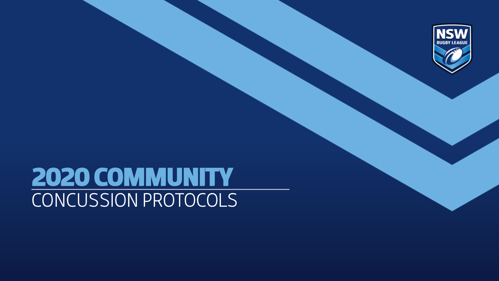

# 2020 COMMUNITY CONCUSSION PROTOCOLS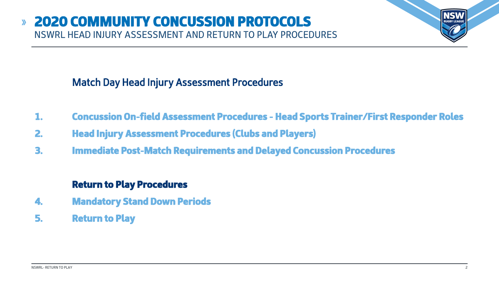## Match Day Head Injury Assessment Procedures

- 1. Concussion On-field Assessment Procedures Head Sports Trainer/First Responder Roles
- 2. Head Injury Assessment Procedures (Clubs and Players)
- 3. Immediate Post-Match Requirements and Delayed Concussion Procedures

### Return to Play Procedures

- 4. Mandatory Stand Down Periods
- 5. Return to Play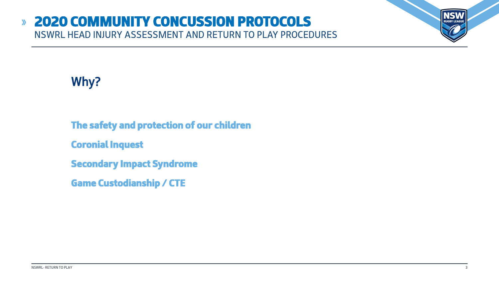#### 2020 COMMUNITY CONCUSSION PROTOCOLS  $\lambda$ NSWRL HEAD INJURY ASSESSMENT AND RETURN TO PLAY PROCEDURES



- The safety and protection of our children
- Coronial Inquest
- Secondary Impact Syndrome
- Game Custodianship / CTE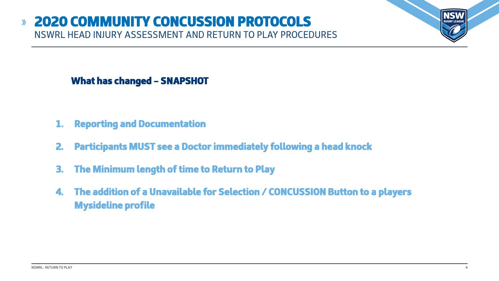#### 2020 COMMUNITY CONCUSSION PROTOCOLS  $\mathbf{v}$ NSWRL HEAD INJURY ASSESSMENT AND RETURN TO PLAY PROCEDURES



- 1. Reporting and Documentation
- 2. Participants MUST see a Doctor immediately following a head knock
- 3. The Minimum length of time to Return to Play
- 4. The addition of a Unavailable for Selection / CONCUSSION Button to a players Mysideline profile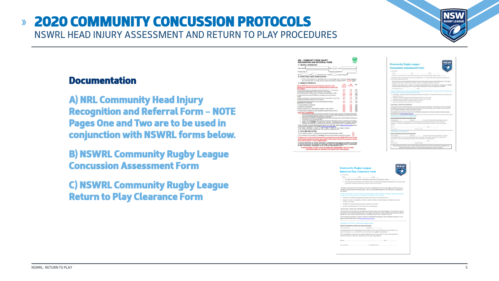#### NSWRL- RETURN TO PLAY 5

#### 2020 COMMUNITY CONCUSSION PROTOCOLS  $\lambda$ NSWRL HEAD INJURY ASSESSMENT AND RETURN TO PLAY PROCEDURES

### Documentation

A) NRL Community Head Injury Recognition and Referral Form – NOTE Pages One and Two are to be used in conjunction with NSWRL forms below.

B) NSWRL Community Rugby League Concussion Assessment Form

C) NSWRL Community Rugby League Return to Play Clearance Form

| NRL - COMMUNITY HEAD INJURY<br>RECOGNITION AND REFERRAL FORM.                                                                                                                                                                                                                                                                                                                                                                                                                                                                                                                                                                                                                                                                            |                                         |                                 |                                                                                                                 |
|------------------------------------------------------------------------------------------------------------------------------------------------------------------------------------------------------------------------------------------------------------------------------------------------------------------------------------------------------------------------------------------------------------------------------------------------------------------------------------------------------------------------------------------------------------------------------------------------------------------------------------------------------------------------------------------------------------------------------------------|-----------------------------------------|---------------------------------|-----------------------------------------------------------------------------------------------------------------|
| A. GENERAL INFORMATION                                                                                                                                                                                                                                                                                                                                                                                                                                                                                                                                                                                                                                                                                                                   |                                         |                                 | Com                                                                                                             |
| Plymer Names<br>Club<br><b>Age</b>                                                                                                                                                                                                                                                                                                                                                                                                                                                                                                                                                                                                                                                                                                       |                                         |                                 | Con                                                                                                             |
|                                                                                                                                                                                                                                                                                                                                                                                                                                                                                                                                                                                                                                                                                                                                          |                                         |                                 | Torde S                                                                                                         |
| Esprany Name<br><b>Examiner qualifications</b>                                                                                                                                                                                                                                                                                                                                                                                                                                                                                                                                                                                                                                                                                           |                                         |                                 | Float                                                                                                           |
| Approximate Time to Half<br><b>Hult</b>                                                                                                                                                                                                                                                                                                                                                                                                                                                                                                                                                                                                                                                                                                  | Product of Player                       |                                 | 1. Triale                                                                                                       |
| <b>B. STRUCTURAL HEAD OR NECK IN SIRY</b>                                                                                                                                                                                                                                                                                                                                                                                                                                                                                                                                                                                                                                                                                                |                                         |                                 | $2.25 \pm 0.$                                                                                                   |
| 1. An frenc (block balling of a criticially period or idealized head and/or rent hours, including orcharged<br>these of computers unrestrained through the guideline of the prevention find                                                                                                                                                                                                                                                                                                                                                                                                                                                                                                                                              |                                         | <b>Text</b> Rds                 | status)<br>tha is                                                                                               |
| C. REMOVAL FROM PLAY                                                                                                                                                                                                                                                                                                                                                                                                                                                                                                                                                                                                                                                                                                                     |                                         |                                 | <b>SILVER</b>                                                                                                   |
| Tayers BUST be removed personantly from play if any of the                                                                                                                                                                                                                                                                                                                                                                                                                                                                                                                                                                                                                                                                               | 722<br><b><i><u>Transformed</u></i></b> | <b><i><u>Stage Ward</u></i></b> | TW <sub>1</sub><br>HH                                                                                           |
| following are observed by anyone; including coaches, parents and<br>allier players                                                                                                                                                                                                                                                                                                                                                                                                                                                                                                                                                                                                                                                       | <b>Change</b>                           |                                 | Fest:                                                                                                           |
| LCola of consciousness for protenoed less of movement of v 1 - 2 seconds) or                                                                                                                                                                                                                                                                                                                                                                                                                                                                                                                                                                                                                                                             |                                         |                                 | <b>HILLER</b>                                                                                                   |
| et responding applicately to therein, referees or other players<br>The presidive action in fall to ground out bracing for impact flaggy or allft.                                                                                                                                                                                                                                                                                                                                                                                                                                                                                                                                                                                        |                                         |                                 | <b>Provided</b>                                                                                                 |
| Through a sign exchange of the control of an additional and or hear on                                                                                                                                                                                                                                                                                                                                                                                                                                                                                                                                                                                                                                                                   |                                         |                                 | $n$ . When                                                                                                      |
| mparti                                                                                                                                                                                                                                                                                                                                                                                                                                                                                                                                                                                                                                                                                                                                   |                                         |                                 | $\sim$<br>$8 - 126$                                                                                             |
| E. Raldenor ibilturbancar <sup>a</sup> or Clumpy boos of control over movements) or elimits get<br>as Kirknachez ar consolidae frananzi (regular (195). Till namnenstad i                                                                                                                                                                                                                                                                                                                                                                                                                                                                                                                                                                |                                         |                                 | $P.$ One                                                                                                        |
| Claims or literal research and artist their normal automobil reaching<br>eprenately to surrainings                                                                                                                                                                                                                                                                                                                                                                                                                                                                                                                                                                                                                                       |                                         |                                 | $=$ con<br>W. Gast                                                                                              |
| Unusual between for the depart-                                                                                                                                                                                                                                                                                                                                                                                                                                                                                                                                                                                                                                                                                                          |                                         |                                 | CONCLE                                                                                                          |
| Corksen or destinates                                                                                                                                                                                                                                                                                                                                                                                                                                                                                                                                                                                                                                                                                                                    |                                         |                                 | TRI doc                                                                                                         |
| Memory impairment (e.g. falls Meditodio questions - teller to CRTS).                                                                                                                                                                                                                                                                                                                                                                                                                                                                                                                                                                                                                                                                     |                                         |                                 | <b>Par ACM</b><br>catalo a                                                                                      |
| 13. Player reports or playings any other concussion symptoms (refer to ORTS).                                                                                                                                                                                                                                                                                                                                                                                                                                                                                                                                                                                                                                                            |                                         |                                 |                                                                                                                 |
| <b>SEPORTARY TO REMEMBER</b>                                                                                                                                                                                                                                                                                                                                                                                                                                                                                                                                                                                                                                                                                                             |                                         |                                 | The day.<br>the field                                                                                           |
| Any grayer who is unconsistent should be eugenized of having a spinal your and treated appropriately.<br>The includes ORABCO (Derops, Response, America Breaking, CPR, DeMarbahan) and they should not be<br>moved unless appropriately todrad personnel are present.<br>. The close his waitings or bratesburing in the one potiolists. Developing in the higher<br>a spital injury and an antichance colled<br>. A closer with a famial higary after head trauma should be assessed for signs and subsystems of consussion.<br>Pleases must be HOMEST in reporting how that. Uncorporative between the players should be<br>considered a supplies start of concurance and result in that remuned from size as a solective basid interv |                                         |                                 | <b>BARRELL</b><br><b>Cast Suits</b><br>ddasán<br><b><i>Chandles</i></b><br><b>HOLCOM</b><br>Climinate<br>marine |
| 1 Rafar to the NRL Consulation Management Quidelines on the Play NRL website sound constitutions and con-<br>the Consumption Recognition Tour 4 (CRTS) (copyright) 2017 (CETS/SCRTS)<br>"WOTE-'Bakeron shekarbanca' is defined as when a these is unable to stand constitu couponsed<br>yr and the base of the features will related to the product bright blue for a face of                                                                                                                                                                                                                                                                                                                                                            |                                         |                                 | tighed.<br>OVERY                                                                                                |
| D. OUTCOME AND ACTION                                                                                                                                                                                                                                                                                                                                                                                                                                                                                                                                                                                                                                                                                                                    |                                         |                                 | DENNIS<br>Carrie                                                                                                |
| If "Yea" to particular for speedban 1, are writtenbown must be onited for increasings transfer to trougher                                                                                                                                                                                                                                                                                                                                                                                                                                                                                                                                                                                                                               |                                         |                                 | <b>Glass Se</b>                                                                                                 |
| if "Fey" is selected for any of questions 3-10, immediate nervous form play and medical assessment are required                                                                                                                                                                                                                                                                                                                                                                                                                                                                                                                                                                                                                          |                                         |                                 | <b>TRANS</b>                                                                                                    |
| 18 alayer who is removed from play with a suspecied concussion MUST NOT mitum to size                                                                                                                                                                                                                                                                                                                                                                                                                                                                                                                                                                                                                                                    |                                         |                                 | <b>ATTACH</b>                                                                                                   |
| until formally cleared by a doctor. If any RED FLAGS listed to the CRTS are present or there<br>la any other concern - call an AMBULANCE.                                                                                                                                                                                                                                                                                                                                                                                                                                                                                                                                                                                                |                                         |                                 | <b>Band (a)</b><br>top and                                                                                      |
| A PLAYER SUSPECTED OF HAVING SUSTAINED A CONCUSSION WAST NOT BE ALLOWED TO KETURE                                                                                                                                                                                                                                                                                                                                                                                                                                                                                                                                                                                                                                                        |                                         |                                 | <b>CACRIER</b>                                                                                                  |
| TO THE EXILO OF PLAY ON THE EAY OF THE BLANKY EVEN IF THE EYEPTIONS SERVICE INTERFERING<br>BE SENT FOR MEDICAL ASSESSMENT IN THE CARE OF A RESPONSIBLE ADULT.                                                                                                                                                                                                                                                                                                                                                                                                                                                                                                                                                                            |                                         |                                 | his.                                                                                                            |
|                                                                                                                                                                                                                                                                                                                                                                                                                                                                                                                                                                                                                                                                                                                                          |                                         |                                 |                                                                                                                 |

**Read** 



**NSW** 

**RUGBY LEAGUI** 

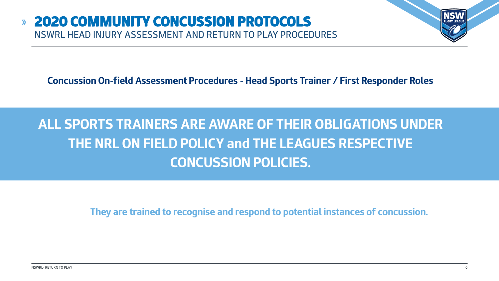

# **ALL SPORTS TRAINERS ARE AWARE OF THEIR OBLIGATIONS UNDER THE NRL ON FIELD POLICY and THE LEAGUES RESPECTIVE CONCUSSION POLICIES.**

**They are trained to recognise and respond to potential instances of concussion.**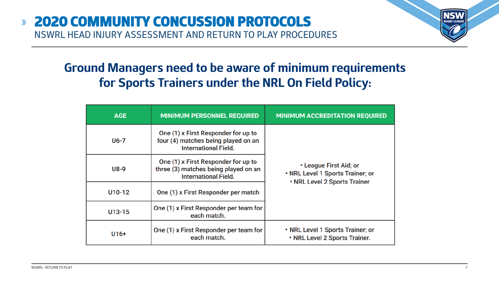# **Ground Managers need to be aware of minimum requirements for Sports Trainers under the NRL On Field Policy:**

| <b>AGE</b> | <b>MINIMUM PERSONNEL REQUIRED</b>                                                                          | <b>MINIMUM ACCREDITATION REQUIRED</b>                                                      |  |
|------------|------------------------------------------------------------------------------------------------------------|--------------------------------------------------------------------------------------------|--|
| U6-7       | One (1) x First Responder for up to<br>four (4) matches being played on an<br><b>International Field.</b>  |                                                                                            |  |
| U8-9       | One (1) x First Responder for up to<br>three (3) matches being played on an<br><b>International Field.</b> | • League First Aid; or<br>. NRL Level 1 Sports Trainer; or<br>. NRL Level 2 Sports Trainer |  |
| U10-12     | One (1) x First Responder per match                                                                        |                                                                                            |  |
| $U13-15$   | One (1) x First Responder per team for<br>each match.                                                      |                                                                                            |  |
| $U16+$     | One (1) x First Responder per team for<br>each match.                                                      | • NRL Level 1 Sports Trainer; or<br>• NRL Level 2 Sports Trainer.                          |  |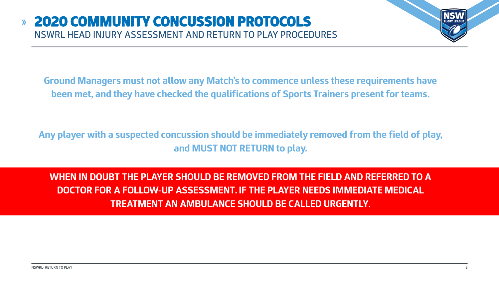

**Ground Managers must not allow any Match's to commence unless these requirements have been met, and they have checked the qualifications of Sports Trainers present for teams.**

**Any player with a suspected concussion should be immediately removed from the field of play, and MUST NOT RETURN to play.** 

**WHEN IN DOUBT THE PLAYER SHOULD BE REMOVED FROM THE FIELD AND REFERRED TO A DOCTOR FOR A FOLLOW-UP ASSESSMENT. IF THE PLAYER NEEDS IMMEDIATE MEDICAL TREATMENT AN AMBULANCE SHOULD BE CALLED URGENTLY.**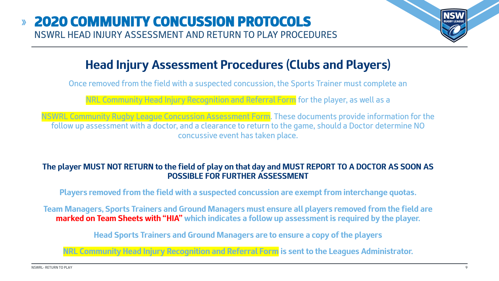

# **Head Injury Assessment Procedures (Clubs and Players)**

Once removed from the field with a suspected concussion, the Sports Trainer must complete an

NRL Community Head Injury Recognition and Referral Form for the player, as well as a

NSWRL Community Rugby League Concussion Assessment Form. These documents provide information for the follow up assessment with a doctor, and a clearance to return to the game, should a Doctor determine NO concussive event has taken place.

#### **The player MUST NOT RETURN to the field of play on that day and MUST REPORT TO A DOCTOR AS SOON AS POSSIBLE FOR FURTHER ASSESSMENT**

**Players removed from the field with a suspected concussion are exempt from interchange quotas.**

**Team Managers, Sports Trainers and Ground Managers must ensure all players removed from the field are marked on Team Sheets with "HIA" which indicates a follow up assessment is required by the player.** 

**Head Sports Trainers and Ground Managers are to ensure a copy of the players** 

**NRL Community Head Injury Recognition and Referral Form is sent to the Leagues Administrator.**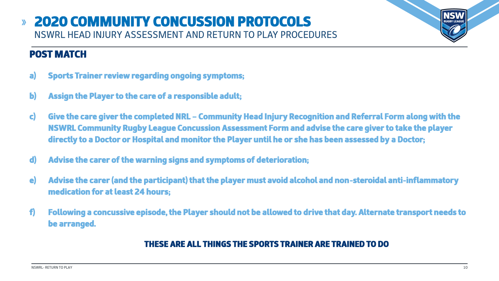# POST MATCH

- a) Sports Trainer review regarding ongoing symptoms;
- b) Assign the Player to the care of a responsible adult;
- c) Give the care giver the completed NRL Community Head Injury Recognition and Referral Form along with the NSWRL Community Rugby League Concussion Assessment Form and advise the care giver to take the player directly to a Doctor or Hospital and monitor the Player until he or she has been assessed by a Doctor;
- d) Advise the carer of the warning signs and symptoms of deterioration;
- e) Advise the carer (and the participant) that the player must avoid alcohol and non-steroidal anti-inflammatory medication for at least 24 hours;
- f) Following a concussive episode, the Player should not be allowed to drive that day. Alternate transport needs to be arranged.

### THESE ARE ALL THINGS THE SPORTS TRAINER ARE TRAINED TO DO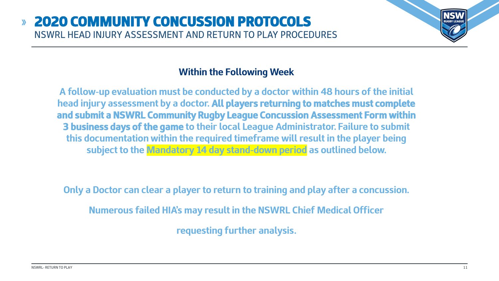

### **Within the Following Week**

**A follow-up evaluation must be conducted by a doctor within 48 hours of the initial head injury assessment by a doctor. All players returning to matches must complete and submit a NSWRL Community Rugby League Concussion Assessment Form within 3 business days of the game to their local League Administrator. Failure to submit this documentation within the required timeframe will result in the player being subject to the Mandatory 14 day stand-down period as outlined below.**

**Only a Doctor can clear a player to return to training and play after a concussion.**

**Numerous failed HIA's may result in the NSWRL Chief Medical Officer** 

**requesting further analysis.**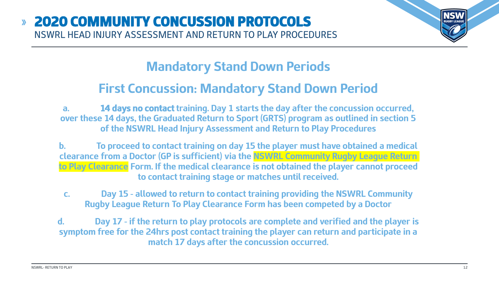

# **Mandatory Stand Down Periods**

# **First Concussion: Mandatory Stand Down Period**

**a. 14 days no contact training. Day 1 starts the day after the concussion occurred, over these 14 days, the Graduated Return to Sport (GRTS) program as outlined in section 5 of the NSWRL Head Injury Assessment and Return to Play Procedures**

**b. To proceed to contact training on day 15 the player must have obtained a medical clearance from a Doctor (GP is sufficient) via the NSWRL Community Rugby League Return to Play Clearance Form. If the medical clearance is not obtained the player cannot proceed to contact training stage or matches until received.** 

**c. Day 15 - allowed to return to contact training providing the NSWRL Community Rugby League Return To Play Clearance Form has been competed by a Doctor**

**d. Day 17 - if the return to play protocols are complete and verified and the player is symptom free for the 24hrs post contact training the player can return and participate in a match 17 days after the concussion occurred.**